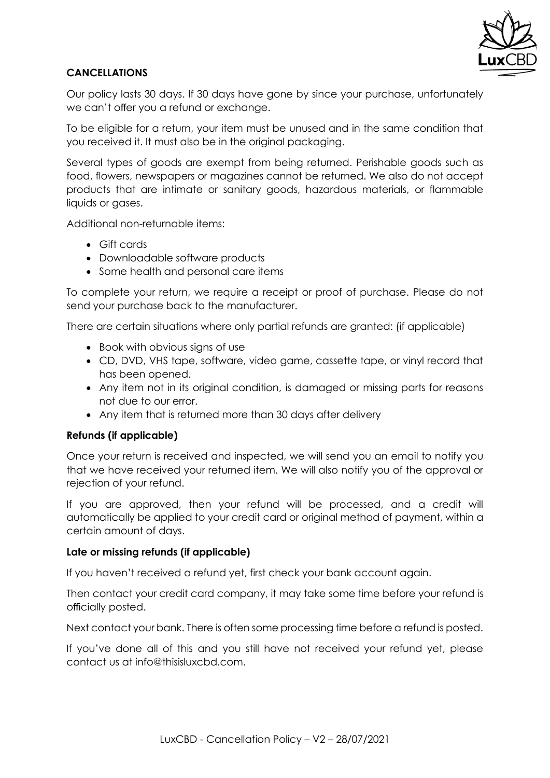

# **CANCELLATIONS**

Our policy lasts 30 days. If 30 days have gone by since your purchase, unfortunately we can't offer you a refund or exchange.

To be eligible for a return, your item must be unused and in the same condition that you received it. It must also be in the original packaging.

Several types of goods are exempt from being returned. Perishable goods such as food, flowers, newspapers or magazines cannot be returned. We also do not accept products that are intimate or sanitary goods, hazardous materials, or flammable liquids or gases.

Additional non-returnable items:

- Gift cards
- Downloadable software products
- Some health and personal care items

To complete your return, we require a receipt or proof of purchase. Please do not send your purchase back to the manufacturer.

There are certain situations where only partial refunds are granted: (if applicable)

- Book with obvious signs of use
- CD, DVD, VHS tape, software, video game, cassette tape, or vinyl record that has been opened.
- Any item not in its original condition, is damaged or missing parts for reasons not due to our error.
- Any item that is returned more than 30 days after delivery

### **Refunds (if applicable)**

Once your return is received and inspected, we will send you an email to notify you that we have received your returned item. We will also notify you of the approval or rejection of your refund.

If you are approved, then your refund will be processed, and a credit will automatically be applied to your credit card or original method of payment, within a certain amount of days.

### **Late or missing refunds (if applicable)**

If you haven't received a refund yet, first check your bank account again.

Then contact your credit card company, it may take some time before your refund is officially posted.

Next contact your bank. There is often some processing time before a refund is posted.

If you've done all of this and you still have not received your refund yet, please contact us at info@thisisluxcbd.com.